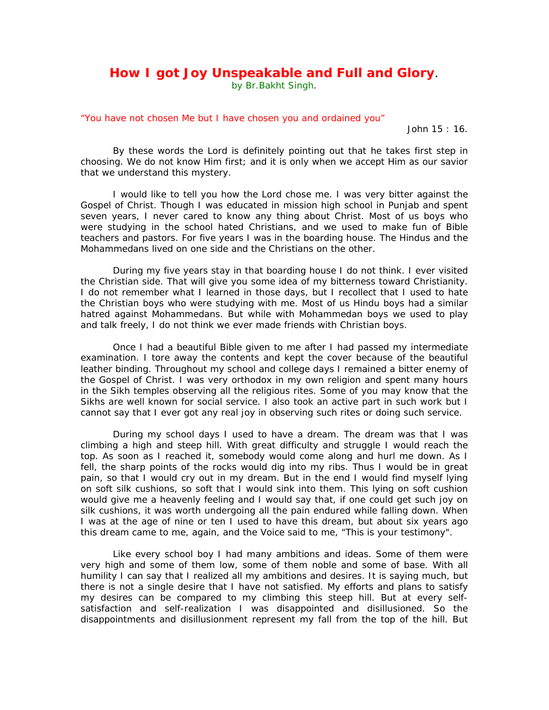## **How I got Joy Unspeakable and Full and Glory.**<br>by Br.Bakht Singh.

## "You have not chosen Me but I have chosen you and ordained you"

John 15 : 16.

By these words the Lord is definitely pointing out that he takes first step in choosing. We do not know Him first; and it is only when we accept Him as our savior that we understand this mystery.

I would like to tell you how the Lord chose me. I was very bitter against the Gospel of Christ. Though I was educated in mission high school in Punjab and spent seven years, I never cared to know any thing about Christ. Most of us boys who were studying in the school hated Christians, and we used to make fun of Bible teachers and pastors. For five years I was in the boarding house. The Hindus and the Mohammedans lived on one side and the Christians on the other.

During my five years stay in that boarding house I do not think. I ever visited the Christian side. That will give you some idea of my bitterness toward Christianity. I do not remember what I learned in those days, but I recollect that I used to hate the Christian boys who were studying with me. Most of us Hindu boys had a similar hatred against Mohammedans. But while with Mohammedan boys we used to play and talk freely, I do not think we ever made friends with Christian boys.

Once I had a beautiful Bible given to me after I had passed my intermediate examination. I tore away the contents and kept the cover because of the beautiful leather binding. Throughout my school and college days I remained a bitter enemy of the Gospel of Christ. I was very orthodox in my own religion and spent many hours in the Sikh temples observing all the religious rites. Some of you may know that the Sikhs are well known for social service. I also took an active part in such work but I cannot say that I ever got any real joy in observing such rites or doing such service.

During my school days I used to have a dream. The dream was that I was climbing a high and steep hill. With great difficulty and struggle I would reach the top. As soon as I reached it, somebody would come along and hurl me down. As I fell, the sharp points of the rocks would dig into my ribs. Thus I would be in great pain, so that I would cry out in my dream. But in the end I would find myself lying on soft silk cushions, so soft that I would sink into them. This lying on soft cushion would give me a heavenly feeling and I would say that, if one could get such joy on silk cushions, it was worth undergoing all the pain endured while falling down. When I was at the age of nine or ten I used to have this dream, but about six years ago this dream came to me, again, and the Voice said to me, "This is your testimony".

Like every school boy I had many ambitions and ideas. Some of them were very high and some of them low, some of them noble and some of base. With all humility I can say that I realized all my ambitions and desires. It is saying much, but there is not a single desire that I have not satisfied. My efforts and plans to satisfy my desires can be compared to my climbing this steep hill. But at every selfsatisfaction and self-realization I was disappointed and disillusioned. So the disappointments and disillusionment represent my fall from the top of the hill. But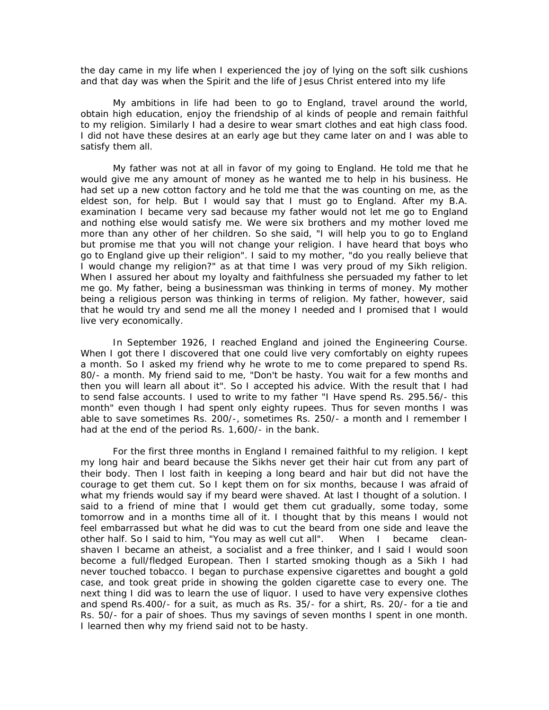the day came in my life when I experienced the joy of lying on the soft silk cushions and that day was when the Spirit and the life of Jesus Christ entered into my life

My ambitions in life had been to go to England, travel around the world, obtain high education, enjoy the friendship of al kinds of people and remain faithful to my religion. Similarly I had a desire to wear smart clothes and eat high class food. I did not have these desires at an early age but they came later on and I was able to satisfy them all.

My father was not at all in favor of my going to England. He told me that he would give me any amount of money as he wanted me to help in his business. He had set up a new cotton factory and he told me that the was counting on me, as the eldest son, for help. But I would say that I must go to England. After my B.A. examination I became very sad because my father would not let me go to England and nothing else would satisfy me. We were six brothers and my mother loved me more than any other of her children. So she said, "I will help you to go to England but promise me that you will not change your religion. I have heard that boys who go to England give up their religion". I said to my mother, "do you really believe that I would change my religion?" as at that time I was very proud of my Sikh religion. When I assured her about my loyalty and faithfulness she persuaded my father to let me go. My father, being a businessman was thinking in terms of money. My mother being a religious person was thinking in terms of religion. My father, however, said that he would try and send me all the money I needed and I promised that I would live very economically.

In September 1926, I reached England and joined the Engineering Course. When I got there I discovered that one could live very comfortably on eighty rupees a month. So I asked my friend why he wrote to me to come prepared to spend Rs. 80/- a month. My friend said to me, "Don't be hasty. You wait for a few months and then you will learn all about it". So I accepted his advice. With the result that I had to send false accounts. I used to write to my father "I Have spend Rs. 295.56/- this month" even though I had spent only eighty rupees. Thus for seven months I was able to save sometimes Rs. 200/-, sometimes Rs. 250/- a month and I remember I had at the end of the period Rs. 1,600/- in the bank.

For the first three months in England I remained faithful to my religion. I kept my long hair and beard because the Sikhs never get their hair cut from any part of their body. Then I lost faith in keeping a long beard and hair but did not have the courage to get them cut. So I kept them on for six months, because I was afraid of what my friends would say if my beard were shaved. At last I thought of a solution. I said to a friend of mine that I would get them cut gradually, some today, some tomorrow and in a months time all of it. I thought that by this means I would not feel embarrassed but what he did was to cut the beard from one side and leave the other half. So I said to him, "You may as well cut all". When I became cleanshaven I became an atheist, a socialist and a free thinker, and I said I would soon become a full/fledged European. Then I started smoking though as a Sikh I had never touched tobacco. I began to purchase expensive cigarettes and bought a gold case, and took great pride in showing the golden cigarette case to every one. The next thing I did was to learn the use of liquor. I used to have very expensive clothes and spend Rs.400/- for a suit, as much as Rs. 35/- for a shirt, Rs. 20/- for a tie and Rs. 50/- for a pair of shoes. Thus my savings of seven months I spent in one month. I learned then why my friend said not to be hasty.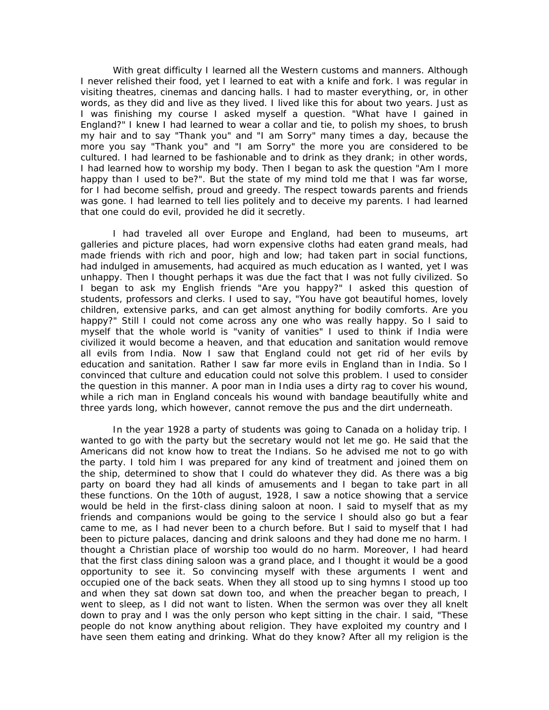With great difficulty I learned all the Western customs and manners. Although I never relished their food, yet I learned to eat with a knife and fork. I was regular in visiting theatres, cinemas and dancing halls. I had to master everything, or, in other words, as they did and live as they lived. I lived like this for about two years. Just as I was finishing my course I asked myself a question. "What have I gained in England?" I knew I had learned to wear a collar and tie, to polish my shoes, to brush my hair and to say "Thank you" and "I am Sorry" many times a day, because the more you say "Thank you" and "I am Sorry" the more you are considered to be cultured. I had learned to be fashionable and to drink as they drank; in other words, I had learned how to worship my body. Then I began to ask the question "Am I more happy than I used to be?". But the state of my mind told me that I was far worse, for I had become selfish, proud and greedy. The respect towards parents and friends was gone. I had learned to tell lies politely and to deceive my parents. I had learned that one could do evil, provided he did it secretly.

I had traveled all over Europe and England, had been to museums, art galleries and picture places, had worn expensive cloths had eaten grand meals, had made friends with rich and poor, high and low; had taken part in social functions, had indulged in amusements, had acquired as much education as I wanted, yet I was unhappy. Then I thought perhaps it was due the fact that I was not fully civilized. So I began to ask my English friends "Are you happy?" I asked this question of students, professors and clerks. I used to say, "You have got beautiful homes, lovely children, extensive parks, and can get almost anything for bodily comforts. Are you happy?" Still I could not come across any one who was really happy. So I said to myself that the whole world is "vanity of vanities" I used to think if India were civilized it would become a heaven, and that education and sanitation would remove all evils from India. Now I saw that England could not get rid of her evils by education and sanitation. Rather I saw far more evils in England than in India. So I convinced that culture and education could not solve this problem. I used to consider the question in this manner. A poor man in India uses a dirty rag to cover his wound, while a rich man in England conceals his wound with bandage beautifully white and three yards long, which however, cannot remove the pus and the dirt underneath.

In the year 1928 a party of students was going to Canada on a holiday trip. I wanted to go with the party but the secretary would not let me go. He said that the Americans did not know how to treat the Indians. So he advised me not to go with the party. I told him I was prepared for any kind of treatment and joined them on the ship, determined to show that I could do whatever they did. As there was a big party on board they had all kinds of amusements and I began to take part in all these functions. On the 10th of august, 1928, I saw a notice showing that a service would be held in the first-class dining saloon at noon. I said to myself that as my friends and companions would be going to the service I should also go but a fear came to me, as I had never been to a church before. But I said to myself that I had been to picture palaces, dancing and drink saloons and they had done me no harm. I thought a Christian place of worship too would do no harm. Moreover, I had heard that the first class dining saloon was a grand place, and I thought it would be a good opportunity to see it. So convincing myself with these arguments I went and occupied one of the back seats. When they all stood up to sing hymns I stood up too and when they sat down sat down too, and when the preacher began to preach, I went to sleep, as I did not want to listen. When the sermon was over they all knelt down to pray and I was the only person who kept sitting in the chair. I said, "These people do not know anything about religion. They have exploited my country and I have seen them eating and drinking. What do they know? After all my religion is the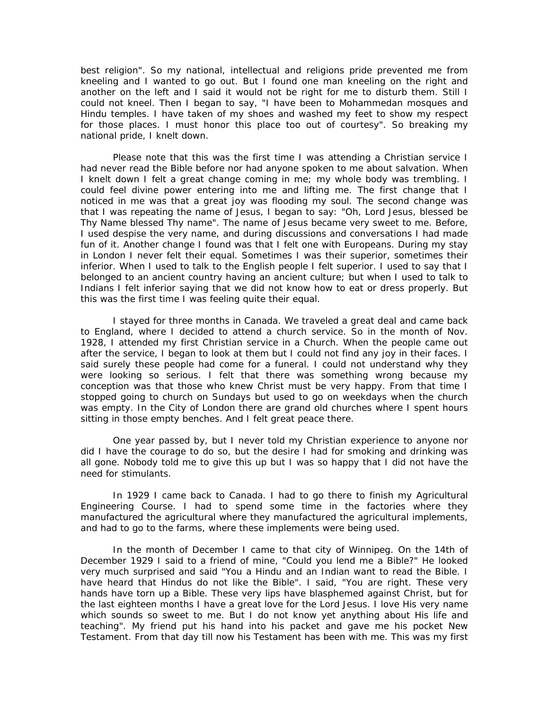best religion". So my national, intellectual and religions pride prevented me from kneeling and I wanted to go out. But I found one man kneeling on the right and another on the left and I said it would not be right for me to disturb them. Still I could not kneel. Then I began to say, "I have been to Mohammedan mosques and Hindu temples. I have taken of my shoes and washed my feet to show my respect for those places. I must honor this place too out of courtesy". So breaking my national pride, I knelt down.

Please note that this was the first time I was attending a Christian service I had never read the Bible before nor had anyone spoken to me about salvation. When I knelt down I felt a great change coming in me; my whole body was trembling. I could feel divine power entering into me and lifting me. The first change that I noticed in me was that a great joy was flooding my soul. The second change was that I was repeating the name of Jesus, I began to say: "Oh, Lord Jesus, blessed be Thy Name blessed Thy name". The name of Jesus became very sweet to me. Before, I used despise the very name, and during discussions and conversations I had made fun of it. Another change I found was that I felt one with Europeans. During my stay in London I never felt their equal. Sometimes I was their superior, sometimes their inferior. When I used to talk to the English people I felt superior. I used to say that I belonged to an ancient country having an ancient culture; but when I used to talk to Indians I felt inferior saying that we did not know how to eat or dress properly. But this was the first time I was feeling quite their equal.

I stayed for three months in Canada. We traveled a great deal and came back to England, where I decided to attend a church service. So in the month of Nov. 1928, I attended my first Christian service in a Church. When the people came out after the service, I began to look at them but I could not find any joy in their faces. I said surely these people had come for a funeral. I could not understand why they were looking so serious. I felt that there was something wrong because my conception was that those who knew Christ must be very happy. From that time I stopped going to church on Sundays but used to go on weekdays when the church was empty. In the City of London there are grand old churches where I spent hours sitting in those empty benches. And I felt great peace there.

One year passed by, but I never told my Christian experience to anyone nor did I have the courage to do so, but the desire I had for smoking and drinking was all gone. Nobody told me to give this up but I was so happy that I did not have the need for stimulants.

In 1929 I came back to Canada. I had to go there to finish my Agricultural Engineering Course. I had to spend some time in the factories where they manufactured the agricultural where they manufactured the agricultural implements, and had to go to the farms, where these implements were being used.

In the month of December I came to that city of Winnipeg. On the 14th of December 1929 I said to a friend of mine, "Could you lend me a Bible?" He looked very much surprised and said "You a Hindu and an Indian want to read the Bible. I have heard that Hindus do not like the Bible". I said, "You are right. These very hands have torn up a Bible. These very lips have blasphemed against Christ, but for the last eighteen months I have a great love for the Lord Jesus. I love His very name which sounds so sweet to me. But I do not know yet anything about His life and teaching". My friend put his hand into his packet and gave me his pocket New Testament. From that day till now his Testament has been with me. This was my first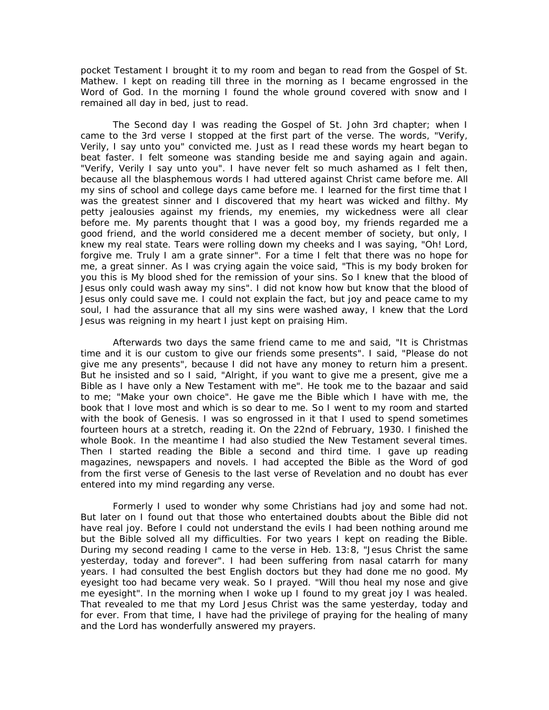pocket Testament I brought it to my room and began to read from the Gospel of St. Mathew. I kept on reading till three in the morning as I became engrossed in the Word of God. In the morning I found the whole ground covered with snow and I remained all day in bed, just to read.

The Second day I was reading the Gospel of St. John 3rd chapter; when I came to the 3rd verse I stopped at the first part of the verse. The words, "Verify, Verily, I say unto you" convicted me. Just as I read these words my heart began to beat faster. I felt someone was standing beside me and saying again and again. "Verify, Verily I say unto you". I have never felt so much ashamed as I felt then, because all the blasphemous words I had uttered against Christ came before me. All my sins of school and college days came before me. I learned for the first time that I was the greatest sinner and I discovered that my heart was wicked and filthy. My petty jealousies against my friends, my enemies, my wickedness were all clear before me. My parents thought that I was a good boy, my friends regarded me a good friend, and the world considered me a decent member of society, but only, I knew my real state. Tears were rolling down my cheeks and I was saying, "Oh! Lord, forgive me. Truly I am a grate sinner". For a time I felt that there was no hope for me, a great sinner. As I was crying again the voice said, "This is my body broken for you this is My blood shed for the remission of your sins. So I knew that the blood of Jesus only could wash away my sins". I did not know how but know that the blood of Jesus only could save me. I could not explain the fact, but joy and peace came to my soul, I had the assurance that all my sins were washed away, I knew that the Lord Jesus was reigning in my heart I just kept on praising Him.

Afterwards two days the same friend came to me and said, "It is Christmas time and it is our custom to give our friends some presents". I said, "Please do not give me any presents", because I did not have any money to return him a present. But he insisted and so I said, "Alright, if you want to give me a present, give me a Bible as I have only a New Testament with me". He took me to the bazaar and said to me; "Make your own choice". He gave me the Bible which I have with me, the book that I love most and which is so dear to me. So I went to my room and started with the book of Genesis. I was so engrossed in it that I used to spend sometimes fourteen hours at a stretch, reading it. On the 22nd of February, 1930. I finished the whole Book. In the meantime I had also studied the New Testament several times. Then I started reading the Bible a second and third time. I gave up reading magazines, newspapers and novels. I had accepted the Bible as the Word of god from the first verse of Genesis to the last verse of Revelation and no doubt has ever entered into my mind regarding any verse.

Formerly I used to wonder why some Christians had joy and some had not. But later on I found out that those who entertained doubts about the Bible did not have real joy. Before I could not understand the evils I had been nothing around me but the Bible solved all my difficulties. For two years I kept on reading the Bible. During my second reading I came to the verse in Heb. 13:8, "Jesus Christ the same yesterday, today and forever". I had been suffering from nasal catarrh for many years. I had consulted the best English doctors but they had done me no good. My eyesight too had became very weak. So I prayed. "Will thou heal my nose and give me eyesight". In the morning when I woke up I found to my great joy I was healed. That revealed to me that my Lord Jesus Christ was the same yesterday, today and for ever. From that time, I have had the privilege of praying for the healing of many and the Lord has wonderfully answered my prayers.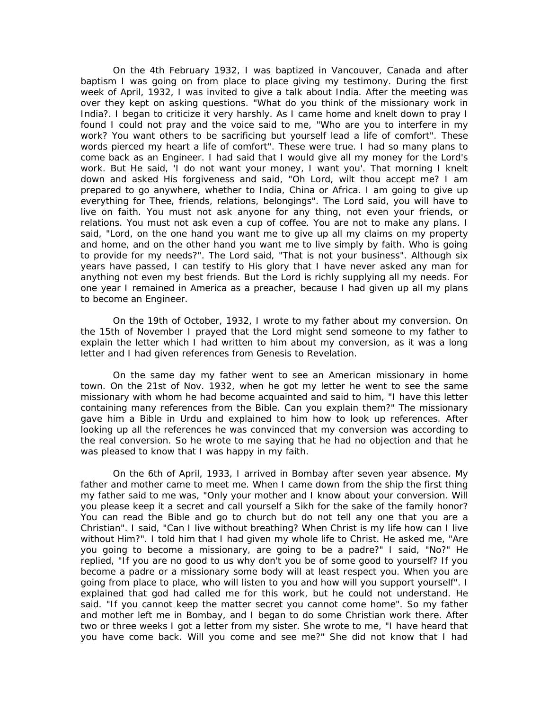On the 4th February 1932, I was baptized in Vancouver, Canada and after baptism I was going on from place to place giving my testimony. During the first week of April, 1932, I was invited to give a talk about India. After the meeting was over they kept on asking questions. "What do you think of the missionary work in India?. I began to criticize it very harshly. As I came home and knelt down to pray I found I could not pray and the voice said to me, "Who are you to interfere in my work? You want others to be sacrificing but yourself lead a life of comfort". These words pierced my heart a life of comfort". These were true. I had so many plans to come back as an Engineer. I had said that I would give all my money for the Lord's work. But He said, 'I do not want your money, I want you'. That morning I knelt down and asked His forgiveness and said, "Oh Lord, wilt thou accept me? I am prepared to go anywhere, whether to India, China or Africa. I am going to give up everything for Thee, friends, relations, belongings". The Lord said, you will have to live on faith. You must not ask anyone for any thing, not even your friends, or relations. You must not ask even a cup of coffee. You are not to make any plans. I said, "Lord, on the one hand you want me to give up all my claims on my property and home, and on the other hand you want me to live simply by faith. Who is going to provide for my needs?". The Lord said, "That is not your business". Although six years have passed, I can testify to His glory that I have never asked any man for anything not even my best friends. But the Lord is richly supplying all my needs. For one year I remained in America as a preacher, because I had given up all my plans to become an Engineer.

 On the 19th of October, 1932, I wrote to my father about my conversion. On the 15th of November I prayed that the Lord might send someone to my father to explain the letter which I had written to him about my conversion, as it was a long letter and I had given references from Genesis to Revelation.

On the same day my father went to see an American missionary in home town. On the 21st of Nov. 1932, when he got my letter he went to see the same missionary with whom he had become acquainted and said to him, "I have this letter containing many references from the Bible. Can you explain them?" The missionary gave him a Bible in Urdu and explained to him how to look up references. After looking up all the references he was convinced that my conversion was according to the real conversion. So he wrote to me saying that he had no objection and that he was pleased to know that I was happy in my faith.

On the 6th of April, 1933, I arrived in Bombay after seven year absence. My father and mother came to meet me. When I came down from the ship the first thing my father said to me was, "Only your mother and I know about your conversion. Will you please keep it a secret and call yourself a Sikh for the sake of the family honor? You can read the Bible and go to church but do not tell any one that you are a Christian". I said, "Can I live without breathing? When Christ is my life how can I live without Him?". I told him that I had given my whole life to Christ. He asked me, "Are you going to become a missionary, are going to be a padre?" I said, "No?" He replied, "If you are no good to us why don't you be of some good to yourself? If you become a padre or a missionary some body will at least respect you. When you are going from place to place, who will listen to you and how will you support yourself". I explained that god had called me for this work, but he could not understand. He said. "If you cannot keep the matter secret you cannot come home". So my father and mother left me in Bombay, and I began to do some Christian work there. After two or three weeks I got a letter from my sister. She wrote to me, "I have heard that you have come back. Will you come and see me?" She did not know that I had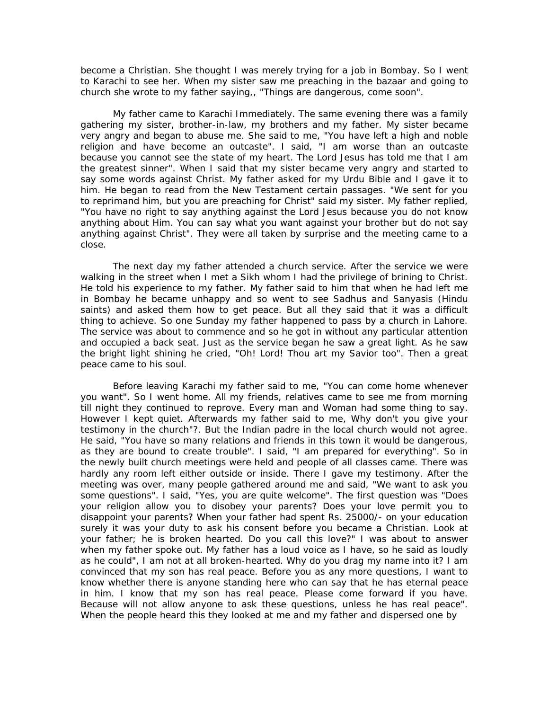become a Christian. She thought I was merely trying for a job in Bombay. So I went to Karachi to see her. When my sister saw me preaching in the bazaar and going to church she wrote to my father saying,, "Things are dangerous, come soon".

My father came to Karachi Immediately. The same evening there was a family gathering my sister, brother-in-law, my brothers and my father. My sister became very angry and began to abuse me. She said to me, "You have left a high and noble religion and have become an outcaste". I said, "I am worse than an outcaste because you cannot see the state of my heart. The Lord Jesus has told me that I am the greatest sinner". When I said that my sister became very angry and started to say some words against Christ. My father asked for my Urdu Bible and I gave it to him. He began to read from the New Testament certain passages. "We sent for you to reprimand him, but you are preaching for Christ" said my sister. My father replied, "You have no right to say anything against the Lord Jesus because you do not know anything about Him. You can say what you want against your brother but do not say anything against Christ". They were all taken by surprise and the meeting came to a close.

The next day my father attended a church service. After the service we were walking in the street when I met a Sikh whom I had the privilege of brining to Christ. He told his experience to my father. My father said to him that when he had left me in Bombay he became unhappy and so went to see Sadhus and Sanyasis (Hindu saints) and asked them how to get peace. But all they said that it was a difficult thing to achieve. So one Sunday my father happened to pass by a church in Lahore. The service was about to commence and so he got in without any particular attention and occupied a back seat. Just as the service began he saw a great light. As he saw the bright light shining he cried, "Oh! Lord! Thou art my Savior too". Then a great peace came to his soul.

Before leaving Karachi my father said to me, "You can come home whenever you want". So I went home. All my friends, relatives came to see me from morning till night they continued to reprove. Every man and Woman had some thing to say. However I kept quiet. Afterwards my father said to me, Why don't you give your testimony in the church"?. But the Indian padre in the local church would not agree. He said, "You have so many relations and friends in this town it would be dangerous, as they are bound to create trouble". I said, "I am prepared for everything". So in the newly built church meetings were held and people of all classes came. There was hardly any room left either outside or inside. There I gave my testimony. After the meeting was over, many people gathered around me and said, "We want to ask you some questions". I said, "Yes, you are quite welcome". The first question was "Does your religion allow you to disobey your parents? Does your love permit you to disappoint your parents? When your father had spent Rs. 25000/- on your education surely it was your duty to ask his consent before you became a Christian. Look at your father; he is broken hearted. Do you call this love?" I was about to answer when my father spoke out. My father has a loud voice as I have, so he said as loudly as he could", I am not at all broken-hearted. Why do you drag my name into it? I am convinced that my son has real peace. Before you as any more questions, I want to know whether there is anyone standing here who can say that he has eternal peace in him. I know that my son has real peace. Please come forward if you have. Because will not allow anyone to ask these questions, unless he has real peace". When the people heard this they looked at me and my father and dispersed one by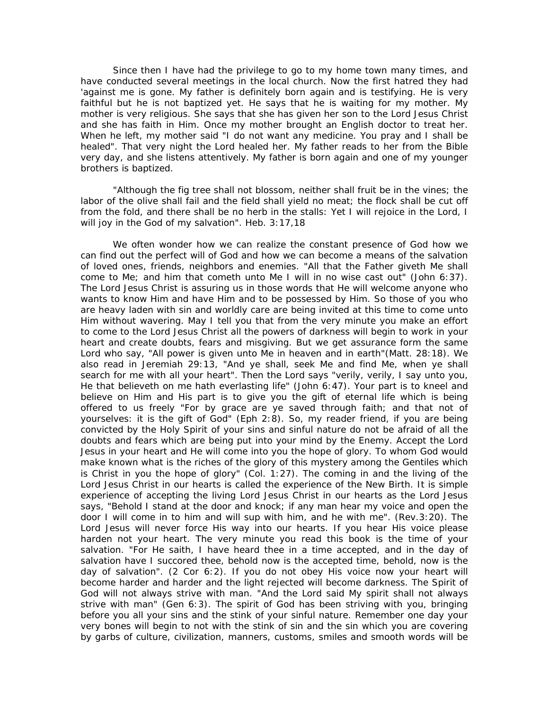Since then I have had the privilege to go to my home town many times, and have conducted several meetings in the local church. Now the first hatred they had 'against me is gone. My father is definitely born again and is testifying. He is very faithful but he is not baptized yet. He says that he is waiting for my mother. My mother is very religious. She says that she has given her son to the Lord Jesus Christ and she has faith in Him. Once my mother brought an English doctor to treat her. When he left, my mother said "I do not want any medicine. You pray and I shall be healed". That very night the Lord healed her. My father reads to her from the Bible very day, and she listens attentively. My father is born again and one of my younger brothers is baptized.

"Although the fig tree shall not blossom, neither shall fruit be in the vines; the labor of the olive shall fail and the field shall yield no meat; the flock shall be cut off from the fold, and there shall be no herb in the stalls: Yet I will rejoice in the Lord, I will joy in the God of my salvation". Heb. 3:17,18

We often wonder how we can realize the constant presence of God how we can find out the perfect will of God and how we can become a means of the salvation of loved ones, friends, neighbors and enemies. "All that the Father giveth Me shall come to Me; and him that cometh unto Me I will in no wise cast out" (John 6:37). The Lord Jesus Christ is assuring us in those words that He will welcome anyone who wants to know Him and have Him and to be possessed by Him. So those of you who are heavy laden with sin and worldly care are being invited at this time to come unto Him without wavering. May I tell you that from the very minute you make an effort to come to the Lord Jesus Christ all the powers of darkness will begin to work in your heart and create doubts, fears and misgiving. But we get assurance form the same Lord who say, "All power is given unto Me in heaven and in earth"(Matt. 28:18). We also read in Jeremiah 29:13, "And ye shall, seek Me and find Me, when ye shall search for me with all your heart". Then the Lord says "verily, verily, I say unto you, He that believeth on me hath everlasting life" (John 6:47). Your part is to kneel and believe on Him and His part is to give you the gift of eternal life which is being offered to us freely "For by grace are ye saved through faith; and that not of yourselves: it is the gift of God" (Eph 2:8). So, my reader friend, if you are being convicted by the Holy Spirit of your sins and sinful nature do not be afraid of all the doubts and fears which are being put into your mind by the Enemy. Accept the Lord Jesus in your heart and He will come into you the hope of glory. To whom God would make known what is the riches of the glory of this mystery among the Gentiles which is Christ in you the hope of glory" (Col. 1:27). The coming in and the living of the Lord Jesus Christ in our hearts is called the experience of the New Birth. It is simple experience of accepting the living Lord Jesus Christ in our hearts as the Lord Jesus says, "Behold I stand at the door and knock; if any man hear my voice and open the door I will come in to him and will sup with him, and he with me". (Rev.3:20). The Lord Jesus will never force His way into our hearts. If you hear His voice please harden not your heart. The very minute you read this book is the time of your salvation. "For He saith, I have heard thee in a time accepted, and in the day of salvation have I succored thee, behold now is the accepted time, behold, now is the day of salvation". (2 Cor 6:2). If you do not obey His voice now your heart will become harder and harder and the light rejected will become darkness. The Spirit of God will not always strive with man. "And the Lord said My spirit shall not always strive with man" (Gen 6:3). The spirit of God has been striving with you, bringing before you all your sins and the stink of your sinful nature. Remember one day your very bones will begin to not with the stink of sin and the sin which you are covering by garbs of culture, civilization, manners, customs, smiles and smooth words will be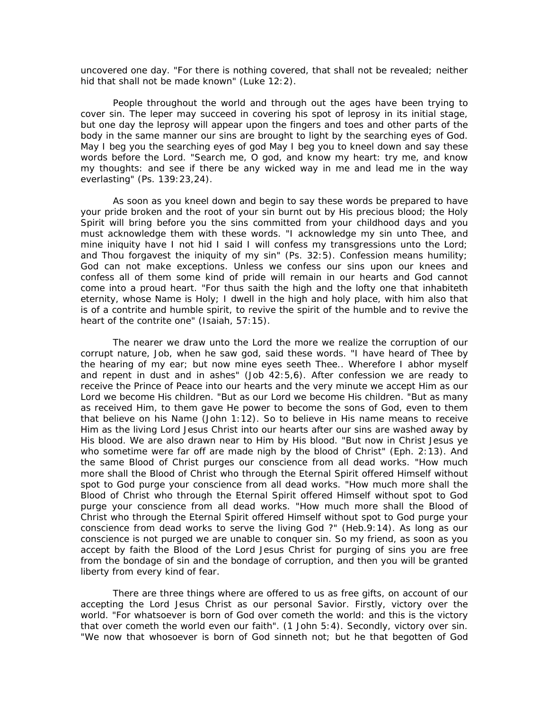uncovered one day. "For there is nothing covered, that shall not be revealed; neither hid that shall not be made known" (Luke 12:2).

People throughout the world and through out the ages have been trying to cover sin. The leper may succeed in covering his spot of leprosy in its initial stage, but one day the leprosy will appear upon the fingers and toes and other parts of the body in the same manner our sins are brought to light by the searching eyes of God. May I beg you the searching eyes of god May I beg you to kneel down and say these words before the Lord. "Search me, O god, and know my heart: try me, and know my thoughts: and see if there be any wicked way in me and lead me in the way everlasting" (Ps. 139:23,24).

As soon as you kneel down and begin to say these words be prepared to have your pride broken and the root of your sin burnt out by His precious blood; the Holy Spirit will bring before you the sins committed from your childhood days and you must acknowledge them with these words. "I acknowledge my sin unto Thee, and mine iniquity have I not hid I said I will confess my transgressions unto the Lord; and Thou forgavest the iniquity of my sin" (Ps. 32:5). Confession means humility; God can not make exceptions. Unless we confess our sins upon our knees and confess all of them some kind of pride will remain in our hearts and God cannot come into a proud heart. "For thus saith the high and the lofty one that inhabiteth eternity, whose Name is Holy; I dwell in the high and holy place, with him also that is of a contrite and humble spirit, to revive the spirit of the humble and to revive the heart of the contrite one" (Isaiah, 57:15).

The nearer we draw unto the Lord the more we realize the corruption of our corrupt nature, Job, when he saw god, said these words. "I have heard of Thee by the hearing of my ear; but now mine eyes seeth Thee.. Wherefore I abhor myself and repent in dust and in ashes" (Job 42:5,6). After confession we are ready to receive the Prince of Peace into our hearts and the very minute we accept Him as our Lord we become His children. "But as our Lord we become His children. "But as many as received Him, to them gave He power to become the sons of God, even to them that believe on his Name (John 1:12). So to believe in His name means to receive Him as the living Lord Jesus Christ into our hearts after our sins are washed away by His blood. We are also drawn near to Him by His blood. "But now in Christ Jesus ye who sometime were far off are made nigh by the blood of Christ" (Eph. 2:13). And the same Blood of Christ purges our conscience from all dead works. "How much more shall the Blood of Christ who through the Eternal Spirit offered Himself without spot to God purge your conscience from all dead works. "How much more shall the Blood of Christ who through the Eternal Spirit offered Himself without spot to God purge your conscience from all dead works. "How much more shall the Blood of Christ who through the Eternal Spirit offered Himself without spot to God purge your conscience from dead works to serve the living God ?" (Heb.9:14). As long as our conscience is not purged we are unable to conquer sin. So my friend, as soon as you accept by faith the Blood of the Lord Jesus Christ for purging of sins you are free from the bondage of sin and the bondage of corruption, and then you will be granted liberty from every kind of fear.

There are three things where are offered to us as free gifts, on account of our accepting the Lord Jesus Christ as our personal Savior. Firstly, victory over the world. "For whatsoever is born of God over cometh the world: and this is the victory that over cometh the world even our faith". (1 John 5:4). Secondly, victory over sin. "We now that whosoever is born of God sinneth not; but he that begotten of God